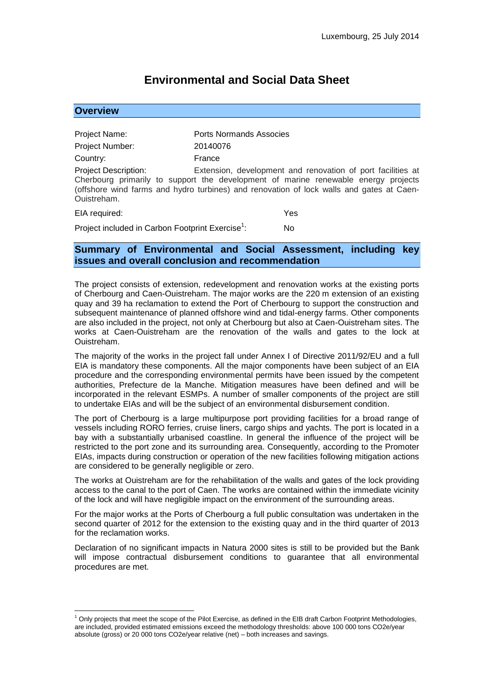# **Environmental and Social Data Sheet**

| <b>Overview</b>                                                                                                                                                                                                                                                                             |                                |     |
|---------------------------------------------------------------------------------------------------------------------------------------------------------------------------------------------------------------------------------------------------------------------------------------------|--------------------------------|-----|
|                                                                                                                                                                                                                                                                                             |                                |     |
| Project Name:                                                                                                                                                                                                                                                                               | <b>Ports Normands Associes</b> |     |
| Project Number:                                                                                                                                                                                                                                                                             | 20140076                       |     |
| Country:                                                                                                                                                                                                                                                                                    | France                         |     |
| <b>Project Description:</b><br>Extension, development and renovation of port facilities at<br>Cherbourg primarily to support the development of marine renewable energy projects<br>(offshore wind farms and hydro turbines) and renovation of lock walls and gates at Caen-<br>Ouistreham. |                                |     |
| EIA required:                                                                                                                                                                                                                                                                               |                                | Yes |
| Project included in Carbon Footprint Exercise <sup>1</sup> :                                                                                                                                                                                                                                |                                | No  |

# **Summary of Environmental and Social Assessment, including key issues and overall conclusion and recommendation**

The project consists of extension, redevelopment and renovation works at the existing ports of Cherbourg and Caen-Ouistreham. The major works are the 220 m extension of an existing quay and 39 ha reclamation to extend the Port of Cherbourg to support the construction and subsequent maintenance of planned offshore wind and tidal-energy farms. Other components are also included in the project, not only at Cherbourg but also at Caen-Ouistreham sites. The works at Caen-Ouistreham are the renovation of the walls and gates to the lock at Ouistreham.

The majority of the works in the project fall under Annex I of Directive 2011/92/EU and a full EIA is mandatory these components. All the major components have been subject of an EIA procedure and the corresponding environmental permits have been issued by the competent authorities, Prefecture de la Manche. Mitigation measures have been defined and will be incorporated in the relevant ESMPs. A number of smaller components of the project are still to undertake EIAs and will be the subject of an environmental disbursement condition.

The port of Cherbourg is a large multipurpose port providing facilities for a broad range of vessels including RORO ferries, cruise liners, cargo ships and yachts. The port is located in a bay with a substantially urbanised coastline. In general the influence of the project will be restricted to the port zone and its surrounding area. Consequently, according to the Promoter EIAs, impacts during construction or operation of the new facilities following mitigation actions are considered to be generally negligible or zero.

The works at Ouistreham are for the rehabilitation of the walls and gates of the lock providing access to the canal to the port of Caen. The works are contained within the immediate vicinity of the lock and will have negligible impact on the environment of the surrounding areas.

For the major works at the Ports of Cherbourg a full public consultation was undertaken in the second quarter of 2012 for the extension to the existing quay and in the third quarter of 2013 for the reclamation works.

Declaration of no significant impacts in Natura 2000 sites is still to be provided but the Bank will impose contractual disbursement conditions to guarantee that all environmental procedures are met.

1

 $1$  Only projects that meet the scope of the Pilot Exercise, as defined in the EIB draft Carbon Footprint Methodologies, are included, provided estimated emissions exceed the methodology thresholds: above 100 000 tons CO2e/year absolute (gross) or 20 000 tons CO2e/year relative (net) – both increases and savings.